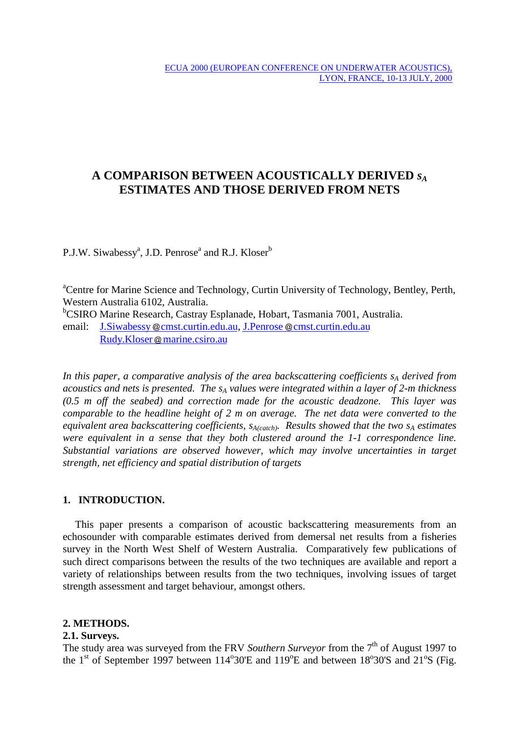# **A COMPARISON BETWEEN ACOUSTICALLY DERIVED** *sA* **ESTIMATES AND THOSE DERIVED FROM NETS**

P.J.W. Siwabessy<sup>a</sup>, J.D. Penrose<sup>a</sup> and R.J. Kloser<sup>b</sup>

<sup>a</sup>Centre for Marine Science and Technology, Curtin University of Technology, Bentley, Perth, Western Australia 6102, Australia.

b CSIRO Marine Research, Castray Esplanade, Hobart, Tasmania 7001, Australia.

email: J.Siwabessy @cmst.curtin.edu.au, J.Penrose @cmst.curtin.edu.au Rudy.Kloser @ marine.csiro.au

In this paper, a comparative analysis of the area backscattering coefficients s<sub>A</sub> derived from *acoustics and nets is presented. The sA values were integrated within a layer of 2-m thickness (0.5 m off the seabed) and correction made for the acoustic deadzone. This layer was comparable to the headline height of 2 m on average. The net data were converted to the equivalent area backscattering coefficients, SA(catch). Results showed that the two SA estimates were equivalent in a sense that they both clustered around the 1-1 correspondence line. Substantial variations are observed however, which may involve uncertainties in target strength, net efficiency and spatial distribution of targets*

# **1. INTRODUCTION.**

This paper presents a comparison of acoustic backscattering measurements from an echosounder with comparable estimates derived from demersal net results from a fisheries survey in the North West Shelf of Western Australia. Comparatively few publications of such direct comparisons between the results of the two techniques are available and report a variety of relationships between results from the two techniques, involving issues of target strength assessment and target behaviour, amongst others.

## **2. METHODS.**

## **2.1. Surveys.**

The study area was surveyed from the FRV *Southern Surveyor* from the 7<sup>th</sup> of August 1997 to the 1<sup>st</sup> of September 1997 between  $114^{\circ}30'E$  and  $119^{\circ}E$  and between  $18^{\circ}30'S$  and  $21^{\circ}S$  (Fig.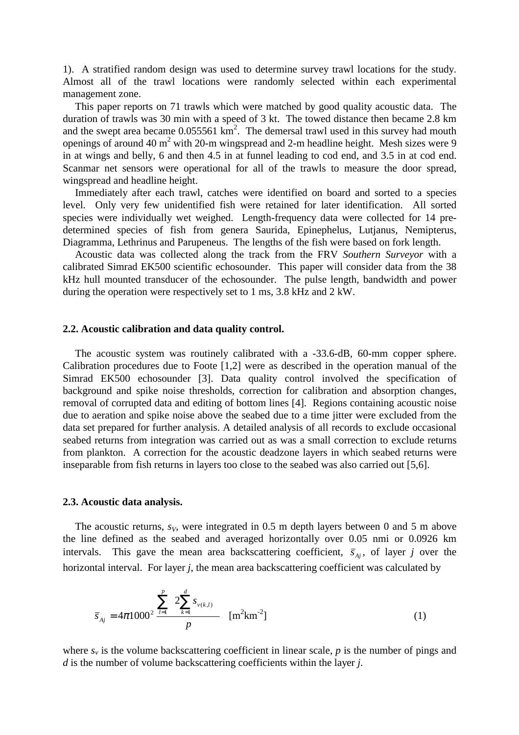1). A stratified random design was used to determine survey trawl locations for the study. Almost all of the trawl locations were randomly selected within each experimental management zone.

This paper reports on 71 trawls which were matched by good quality acoustic data. The duration of trawls was 30 min with a speed of 3 kt. The towed distance then became 2.8 km and the swept area became  $0.055561 \text{ km}^2$ . The demersal trawl used in this survey had mouth openings of around 40  $m^2$  with 20-m wingspread and 2-m headline height. Mesh sizes were 9 in at wings and belly, 6 and then 4.5 in at funnel leading to cod end, and 3.5 in at cod end. Scanmar net sensors were operational for all of the trawls to measure the door spread, wingspread and headline height.

Immediately after each trawl, catches were identified on board and sorted to a species level. Only very few unidentified fish were retained for later identification. All sorted species were individually wet weighed. Length-frequency data were collected for 14 predetermined species of fish from genera Saurida, Epinephelus, Lutjanus, Nemipterus, Diagramma, Lethrinus and Parupeneus. The lengths of the fish were based on fork length.

Acoustic data was collected along the track from the FRV *Southern Surveyor* with a calibrated Simrad EK500 scientific echosounder. This paper will consider data from the 38 kHz hull mounted transducer of the echosounder. The pulse length, bandwidth and power during the operation were respectively set to 1 ms, 3.8 kHz and 2 kW.

#### **2.2. Acoustic calibration and data quality control.**

The acoustic system was routinely calibrated with a -33.6-dB, 60-mm copper sphere. Calibration procedures due to Foote [1,2] were as described in the operation manual of the Simrad EK500 echosounder [3]. Data quality control involved the specification of background and spike noise thresholds, correction for calibration and absorption changes, removal of corrupted data and editing of bottom lines [4]. Regions containing acoustic noise due to aeration and spike noise above the seabed due to a time jitter were excluded from the data set prepared for further analysis. A detailed analysis of all records to exclude occasional seabed returns from integration was carried out as was a small correction to exclude returns from plankton. A correction for the acoustic deadzone layers in which seabed returns were inseparable from fish returns in layers too close to the seabed was also carried out [5,6].

#### **2.3. Acoustic data analysis.**

The acoustic returns,  $s_V$ , were integrated in 0.5 m depth layers between 0 and 5 m above the line defined as the seabed and averaged horizontally over 0.05 nmi or 0.0926 km intervals. This gave the mean area backscattering coefficient,  $\bar{s}_{Ai}$ , of layer *j* over the horizontal interval. For layer *j*, the mean area backscattering coefficient was calculated by

$$
\overline{s}_{A_j} = 4\pi 1000^2 \frac{\sum_{l=1}^{p} \left( 2 \sum_{k=1}^{d} s_{\nu(k,l)} \right)}{p} \quad [\text{m}^2 \text{km}^{-2}] \tag{1}
$$

where  $s<sub>v</sub>$  is the volume backscattering coefficient in linear scale,  $p$  is the number of pings and *d* is the number of volume backscattering coefficients within the layer *j*.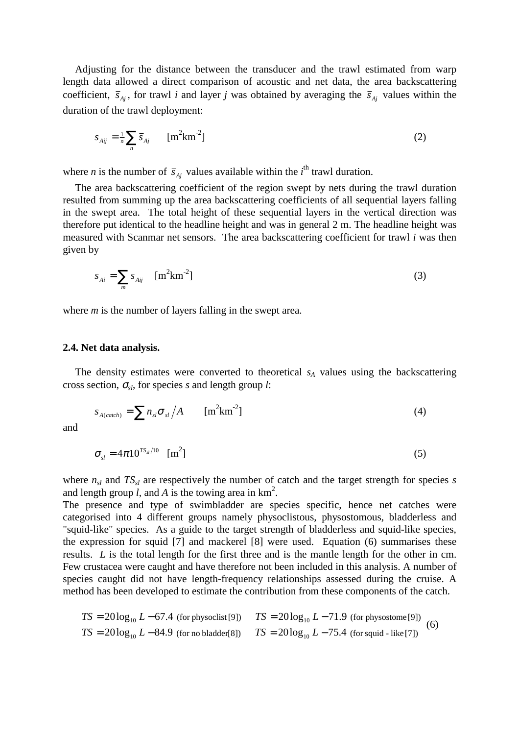Adjusting for the distance between the transducer and the trawl estimated from warp length data allowed a direct comparison of acoustic and net data, the area backscattering coefficient,  $\bar{s}_{Ai}$ , for trawl *i* and layer *j* was obtained by averaging the  $\bar{s}_{Ai}$  values within the duration of the trawl deployment:

$$
s_{Aij} = \frac{1}{n} \sum_{n} \overline{s}_{Aj} \qquad \text{[m}^2 \text{km}^{-2}\text{]}
$$
 (2)

where *n* is the number of  $\bar{s}_{Ai}$  values available within the *i*<sup>th</sup> trawl duration.

The area backscattering coefficient of the region swept by nets during the trawl duration resulted from summing up the area backscattering coefficients of all sequential layers falling in the swept area. The total height of these sequential layers in the vertical direction was therefore put identical to the headline height and was in general 2 m. The headline height was measured with Scanmar net sensors. The area backscattering coefficient for trawl *i* was then given by

$$
s_{Ai} = \sum_{m} s_{Aij} \quad [m^2 \text{km}^{-2}] \tag{3}
$$

where *m* is the number of layers falling in the swept area.

#### **2.4. Net data analysis.**

The density estimates were converted to theoretical  $s_A$  values using the backscattering cross section, <sup>σ</sup>*sl*, for species *s* and length group *l*:

$$
s_{A(catch)} = \sum n_{sl} \sigma_{sl} / A \qquad [m^2 \text{km}^{-2}]
$$
 (4)

and

$$
\sigma_{sl} = 4\pi 10^{TS_{sl}/10} \quad [m^2]
$$
 (5)

where  $n_{sl}$  and  $TS_{sl}$  are respectively the number of catch and the target strength for species *s* and length group  $l$ , and  $A$  is the towing area in  $km^2$ .

The presence and type of swimbladder are species specific, hence net catches were categorised into 4 different groups namely physoclistous, physostomous, bladderless and "squid-like" species. As a guide to the target strength of bladderless and squid-like species, the expression for squid [7] and mackerel [8] were used. Equation (6) summarises these results. *L* is the total length for the first three and is the mantle length for the other in cm. Few crustacea were caught and have therefore not been included in this analysis. A number of species caught did not have length-frequency relationships assessed during the cruise. A method has been developed to estimate the contribution from these components of the catch.

$$
TS = 20\log_{10} L - 67.4
$$
 (for physoclist [9])  

$$
TS = 20\log_{10} L - 71.9
$$
 (for physostome [9])  

$$
TS = 20\log_{10} L - 84.9
$$
 (for no bladder[8])  

$$
TS = 20\log_{10} L - 75.4
$$
 (for sound - like [7]) (6)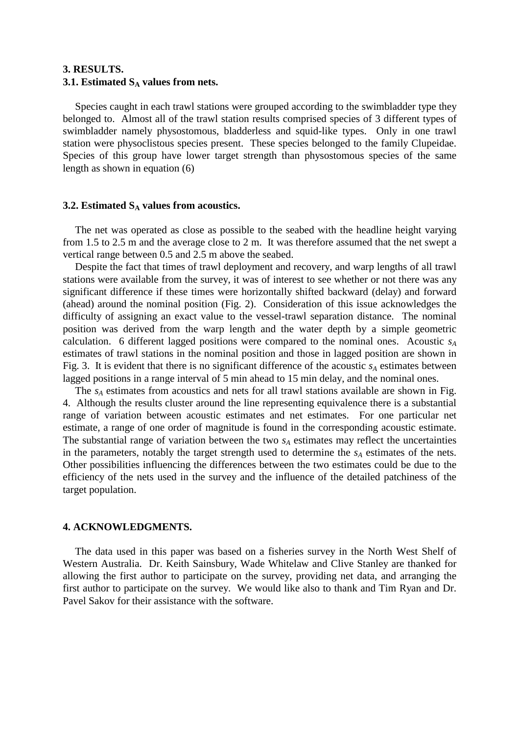# **3. RESULTS. 3.1. Estimated S<sub>A</sub> values from nets.**

Species caught in each trawl stations were grouped according to the swimbladder type they belonged to. Almost all of the trawl station results comprised species of 3 different types of swimbladder namely physostomous, bladderless and squid-like types. Only in one trawl station were physoclistous species present. These species belonged to the family Clupeidae. Species of this group have lower target strength than physostomous species of the same length as shown in equation (6)

#### **3.2. Estimated**  $S_A$  **values from acoustics.**

The net was operated as close as possible to the seabed with the headline height varying from 1.5 to 2.5 m and the average close to 2 m. It was therefore assumed that the net swept a vertical range between 0.5 and 2.5 m above the seabed.

Despite the fact that times of trawl deployment and recovery, and warp lengths of all trawl stations were available from the survey, it was of interest to see whether or not there was any significant difference if these times were horizontally shifted backward (delay) and forward (ahead) around the nominal position (Fig. 2). Consideration of this issue acknowledges the difficulty of assigning an exact value to the vessel-trawl separation distance. The nominal position was derived from the warp length and the water depth by a simple geometric calculation. 6 different lagged positions were compared to the nominal ones. Acoustic  $s_A$ estimates of trawl stations in the nominal position and those in lagged position are shown in Fig. 3. It is evident that there is no significant difference of the acoustic  $s_A$  estimates between lagged positions in a range interval of 5 min ahead to 15 min delay, and the nominal ones.

The  $s_A$  estimates from acoustics and nets for all trawl stations available are shown in Fig. 4. Although the results cluster around the line representing equivalence there is a substantial range of variation between acoustic estimates and net estimates. For one particular net estimate, a range of one order of magnitude is found in the corresponding acoustic estimate. The substantial range of variation between the two  $s_A$  estimates may reflect the uncertainties in the parameters, notably the target strength used to determine the  $s_A$  estimates of the nets. Other possibilities influencing the differences between the two estimates could be due to the efficiency of the nets used in the survey and the influence of the detailed patchiness of the target population.

#### **4. ACKNOWLEDGMENTS.**

The data used in this paper was based on a fisheries survey in the North West Shelf of Western Australia. Dr. Keith Sainsbury, Wade Whitelaw and Clive Stanley are thanked for allowing the first author to participate on the survey, providing net data, and arranging the first author to participate on the survey. We would like also to thank and Tim Ryan and Dr. Pavel Sakov for their assistance with the software.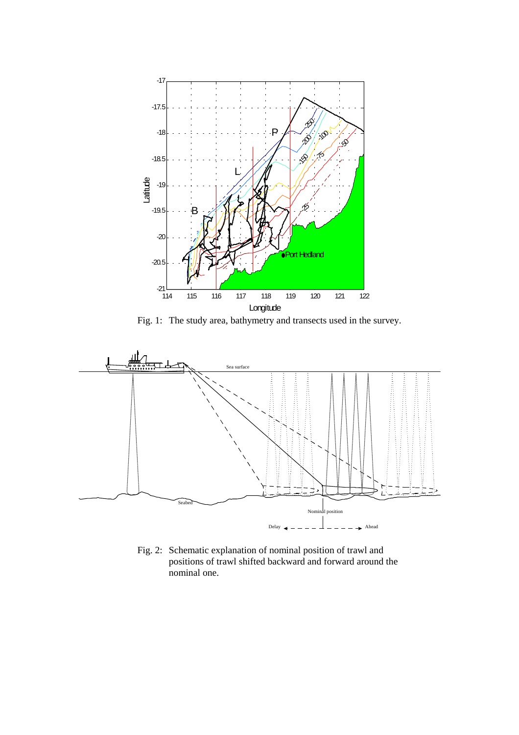

Fig. 1: The study area, bathymetry and transects used in the survey.



Fig. 2: Schematic explanation of nominal position of trawl and positions of trawl shifted backward and forward around the nominal one.